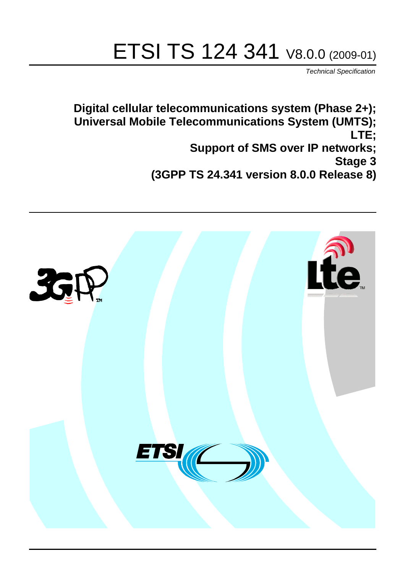# ETSI TS 124 341 V8.0.0 (2009-01)

*Technical Specification*

**Digital cellular telecommunications system (Phase 2+); Universal Mobile Telecommunications System (UMTS); LTE; Support of SMS over IP networks; Stage 3 (3GPP TS 24.341 version 8.0.0 Release 8)**

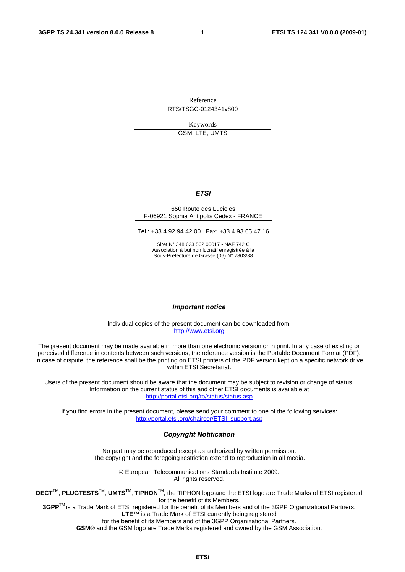Reference

RTS/TSGC-0124341v800

Keywords GSM, LTE, UMTS

### *ETSI*

#### 650 Route des Lucioles F-06921 Sophia Antipolis Cedex - FRANCE

Tel.: +33 4 92 94 42 00 Fax: +33 4 93 65 47 16

Siret N° 348 623 562 00017 - NAF 742 C Association à but non lucratif enregistrée à la Sous-Préfecture de Grasse (06) N° 7803/88

#### *Important notice*

Individual copies of the present document can be downloaded from: [http://www.etsi.org](http://www.etsi.org/)

The present document may be made available in more than one electronic version or in print. In any case of existing or perceived difference in contents between such versions, the reference version is the Portable Document Format (PDF). In case of dispute, the reference shall be the printing on ETSI printers of the PDF version kept on a specific network drive within ETSI Secretariat.

Users of the present document should be aware that the document may be subject to revision or change of status. Information on the current status of this and other ETSI documents is available at <http://portal.etsi.org/tb/status/status.asp>

If you find errors in the present document, please send your comment to one of the following services: [http://portal.etsi.org/chaircor/ETSI\\_support.asp](http://portal.etsi.org/chaircor/ETSI_support.asp)

#### *Copyright Notification*

No part may be reproduced except as authorized by written permission. The copyright and the foregoing restriction extend to reproduction in all media.

> © European Telecommunications Standards Institute 2009. All rights reserved.

**DECT**TM, **PLUGTESTS**TM, **UMTS**TM, **TIPHON**TM, the TIPHON logo and the ETSI logo are Trade Marks of ETSI registered for the benefit of its Members.

**3GPP**TM is a Trade Mark of ETSI registered for the benefit of its Members and of the 3GPP Organizational Partners. **LTE**™ is a Trade Mark of ETSI currently being registered

for the benefit of its Members and of the 3GPP Organizational Partners.

**GSM**® and the GSM logo are Trade Marks registered and owned by the GSM Association.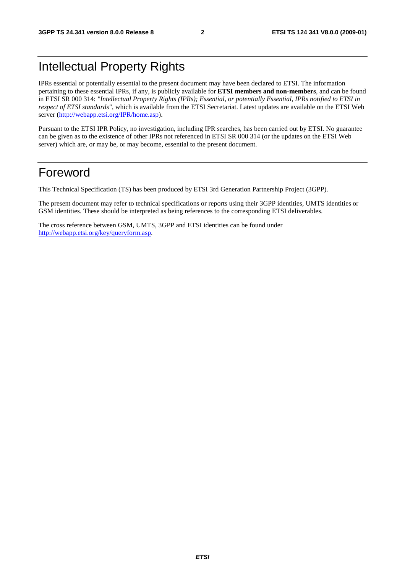# Intellectual Property Rights

IPRs essential or potentially essential to the present document may have been declared to ETSI. The information pertaining to these essential IPRs, if any, is publicly available for **ETSI members and non-members**, and can be found in ETSI SR 000 314: *"Intellectual Property Rights (IPRs); Essential, or potentially Essential, IPRs notified to ETSI in respect of ETSI standards"*, which is available from the ETSI Secretariat. Latest updates are available on the ETSI Web server [\(http://webapp.etsi.org/IPR/home.asp\)](http://webapp.etsi.org/IPR/home.asp).

Pursuant to the ETSI IPR Policy, no investigation, including IPR searches, has been carried out by ETSI. No guarantee can be given as to the existence of other IPRs not referenced in ETSI SR 000 314 (or the updates on the ETSI Web server) which are, or may be, or may become, essential to the present document.

### Foreword

This Technical Specification (TS) has been produced by ETSI 3rd Generation Partnership Project (3GPP).

The present document may refer to technical specifications or reports using their 3GPP identities, UMTS identities or GSM identities. These should be interpreted as being references to the corresponding ETSI deliverables.

The cross reference between GSM, UMTS, 3GPP and ETSI identities can be found under [http://webapp.etsi.org/key/queryform.asp.](http://webapp.etsi.org/key/queryform.asp)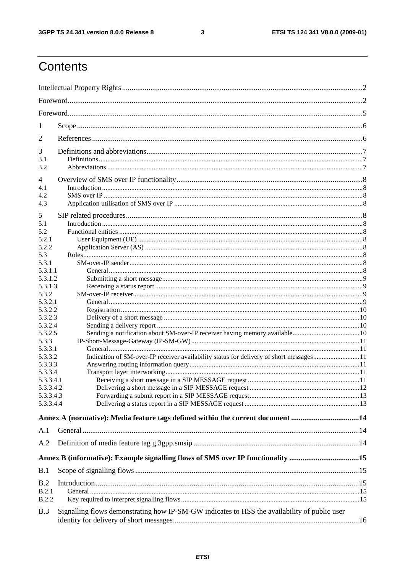$\mathbf{3}$ 

# Contents

| 1                    |                                                                                              |  |  |  |  |  |
|----------------------|----------------------------------------------------------------------------------------------|--|--|--|--|--|
| 2                    |                                                                                              |  |  |  |  |  |
| 3                    |                                                                                              |  |  |  |  |  |
| 3.1                  |                                                                                              |  |  |  |  |  |
| 3.2                  |                                                                                              |  |  |  |  |  |
| 4                    |                                                                                              |  |  |  |  |  |
| 4.1                  |                                                                                              |  |  |  |  |  |
| 4.2                  |                                                                                              |  |  |  |  |  |
| 4.3                  |                                                                                              |  |  |  |  |  |
| 5                    |                                                                                              |  |  |  |  |  |
| 5.1                  |                                                                                              |  |  |  |  |  |
| 5.2                  |                                                                                              |  |  |  |  |  |
| 5.2.1<br>5.2.2       |                                                                                              |  |  |  |  |  |
| 5.3                  |                                                                                              |  |  |  |  |  |
| 5.3.1                |                                                                                              |  |  |  |  |  |
| 5.3.1.1              |                                                                                              |  |  |  |  |  |
| 5.3.1.2              |                                                                                              |  |  |  |  |  |
| 5.3.1.3              |                                                                                              |  |  |  |  |  |
| 5.3.2                |                                                                                              |  |  |  |  |  |
| 5.3.2.1              |                                                                                              |  |  |  |  |  |
| 5.3.2.2<br>5.3.2.3   |                                                                                              |  |  |  |  |  |
| 5.3.2.4              |                                                                                              |  |  |  |  |  |
| 5.3.2.5              |                                                                                              |  |  |  |  |  |
| 5.3.3                |                                                                                              |  |  |  |  |  |
| 5.3.3.1              |                                                                                              |  |  |  |  |  |
| 5.3.3.2              | Indication of SM-over-IP receiver availability status for delivery of short messages11       |  |  |  |  |  |
| 5.3.3.3              |                                                                                              |  |  |  |  |  |
| 5.3.3.4<br>5.3.3.4.1 |                                                                                              |  |  |  |  |  |
| 5.3.3.4.2            |                                                                                              |  |  |  |  |  |
| 5.3.3.4.3            |                                                                                              |  |  |  |  |  |
| 5.3.3.4.4            |                                                                                              |  |  |  |  |  |
|                      | Annex A (normative): Media feature tags defined within the current document 14               |  |  |  |  |  |
| A.1                  |                                                                                              |  |  |  |  |  |
| A.2                  |                                                                                              |  |  |  |  |  |
|                      |                                                                                              |  |  |  |  |  |
|                      | Annex B (informative): Example signalling flows of SMS over IP functionality 15              |  |  |  |  |  |
| B.1                  |                                                                                              |  |  |  |  |  |
| B.2                  |                                                                                              |  |  |  |  |  |
| B.2.1                |                                                                                              |  |  |  |  |  |
| <b>B.2.2</b>         |                                                                                              |  |  |  |  |  |
| B.3                  | Signalling flows demonstrating how IP-SM-GW indicates to HSS the availability of public user |  |  |  |  |  |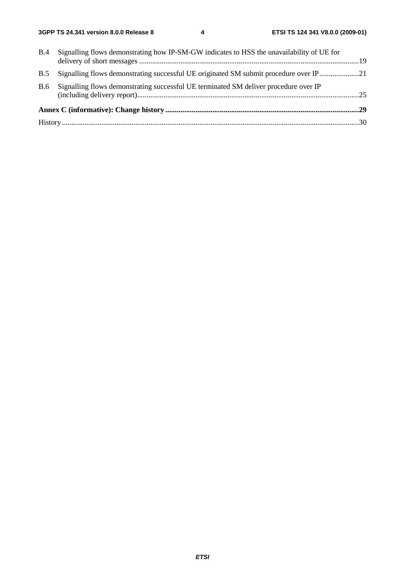| B.4        | Signalling flows demonstrating how IP-SM-GW indicates to HSS the unavailability of UE for |  |  |  |  |
|------------|-------------------------------------------------------------------------------------------|--|--|--|--|
|            |                                                                                           |  |  |  |  |
| <b>B.5</b> | Signalling flows demonstrating successful UE originated SM submit procedure over IP21     |  |  |  |  |
| <b>B.6</b> | Signalling flows demonstrating successful UE terminated SM deliver procedure over IP      |  |  |  |  |
|            |                                                                                           |  |  |  |  |
|            |                                                                                           |  |  |  |  |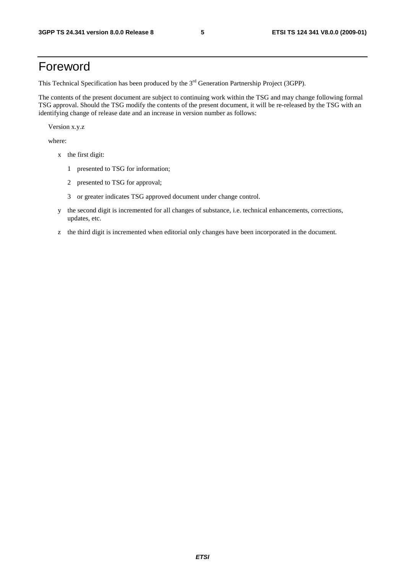## Foreword

This Technical Specification has been produced by the 3<sup>rd</sup> Generation Partnership Project (3GPP).

The contents of the present document are subject to continuing work within the TSG and may change following formal TSG approval. Should the TSG modify the contents of the present document, it will be re-released by the TSG with an identifying change of release date and an increase in version number as follows:

Version x.y.z

where:

- x the first digit:
	- 1 presented to TSG for information;
	- 2 presented to TSG for approval;
	- 3 or greater indicates TSG approved document under change control.
- y the second digit is incremented for all changes of substance, i.e. technical enhancements, corrections, updates, etc.
- z the third digit is incremented when editorial only changes have been incorporated in the document.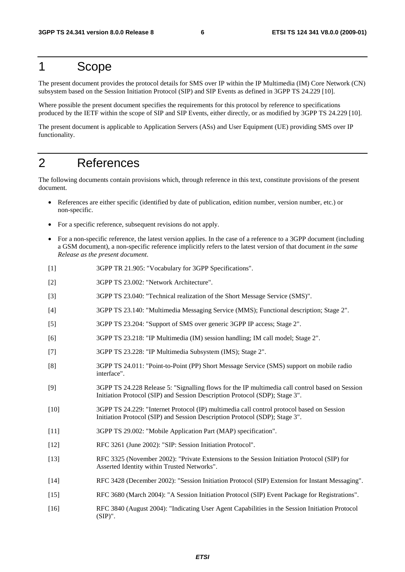# 1 Scope

The present document provides the protocol details for SMS over IP within the IP Multimedia (IM) Core Network (CN) subsystem based on the Session Initiation Protocol (SIP) and SIP Events as defined in 3GPP TS 24.229 [10].

Where possible the present document specifies the requirements for this protocol by reference to specifications produced by the IETF within the scope of SIP and SIP Events, either directly, or as modified by 3GPP TS 24.229 [10].

The present document is applicable to Application Servers (ASs) and User Equipment (UE) providing SMS over IP functionality.

# 2 References

The following documents contain provisions which, through reference in this text, constitute provisions of the present document.

- References are either specific (identified by date of publication, edition number, version number, etc.) or non-specific.
- For a specific reference, subsequent revisions do not apply.
- For a non-specific reference, the latest version applies. In the case of a reference to a 3GPP document (including a GSM document), a non-specific reference implicitly refers to the latest version of that document *in the same Release as the present document*.
- [1] 3GPP TR 21.905: "Vocabulary for 3GPP Specifications".
- [2] 3GPP TS 23.002: "Network Architecture".
- [3] 3GPP TS 23.040: "Technical realization of the Short Message Service (SMS)".
- [4] 3GPP TS 23.140: "Multimedia Messaging Service (MMS); Functional description; Stage 2".
- [5] 3GPP TS 23.204: "Support of SMS over generic 3GPP IP access; Stage 2".
- [6] 3GPP TS 23.218: "IP Multimedia (IM) session handling; IM call model; Stage 2".
- [7] 3GPP TS 23.228: "IP Multimedia Subsystem (IMS); Stage 2".
- [8] 3GPP TS 24.011: "Point-to-Point (PP) Short Message Service (SMS) support on mobile radio interface".
- [9] 3GPP TS 24.228 Release 5: "Signalling flows for the IP multimedia call control based on Session Initiation Protocol (SIP) and Session Description Protocol (SDP); Stage 3".
- [10] 3GPP TS 24.229: "Internet Protocol (IP) multimedia call control protocol based on Session Initiation Protocol (SIP) and Session Description Protocol (SDP); Stage 3".
- [11] 3GPP TS 29.002: "Mobile Application Part (MAP) specification".
- [12] RFC 3261 (June 2002): "SIP: Session Initiation Protocol".
- [13] RFC 3325 (November 2002): "Private Extensions to the Session Initiation Protocol (SIP) for Asserted Identity within Trusted Networks".
- [14] RFC 3428 (December 2002): "Session Initiation Protocol (SIP) Extension for Instant Messaging".
- [15] RFC 3680 (March 2004): "A Session Initiation Protocol (SIP) Event Package for Registrations".
- [16] RFC 3840 (August 2004): "Indicating User Agent Capabilities in the Session Initiation Protocol (SIP)".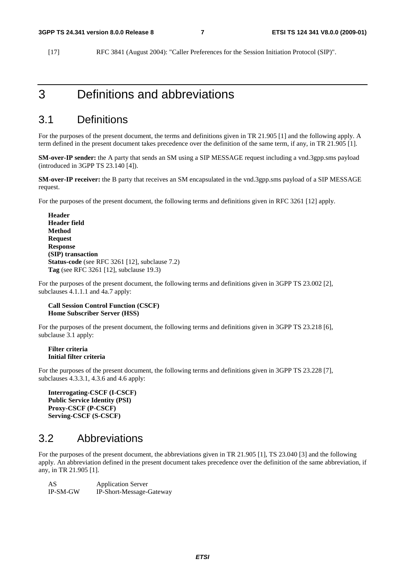[17] RFC 3841 (August 2004): "Caller Preferences for the Session Initiation Protocol (SIP)".

### 3 Definitions and abbreviations

### 3.1 Definitions

For the purposes of the present document, the terms and definitions given in TR 21.905 [1] and the following apply. A term defined in the present document takes precedence over the definition of the same term, if any, in TR 21.905 [1].

**SM-over-IP sender:** the A party that sends an SM using a SIP MESSAGE request including a vnd.3gpp.sms payload (introduced in 3GPP TS 23.140 [4]).

**SM-over-IP receiver:** the B party that receives an SM encapsulated in the vnd.3gpp.sms payload of a SIP MESSAGE request.

For the purposes of the present document, the following terms and definitions given in RFC 3261 [12] apply.

**Header Header field Method Request Response (SIP) transaction Status-code** (see RFC 3261 [12], subclause 7.2) **Tag** (see RFC 3261 [12], subclause 19.3)

For the purposes of the present document, the following terms and definitions given in 3GPP TS 23.002 [2], subclauses 4.1.1.1 and 4a.7 apply:

#### **Call Session Control Function (CSCF) Home Subscriber Server (HSS)**

For the purposes of the present document, the following terms and definitions given in 3GPP TS 23.218 [6], subclause 3.1 apply:

#### **Filter criteria Initial filter criteria**

For the purposes of the present document, the following terms and definitions given in 3GPP TS 23.228 [7], subclauses 4.3.3.1, 4.3.6 and 4.6 apply:

```
Interrogating-CSCF (I-CSCF) 
Public Service Identity (PSI) 
Proxy-CSCF (P-CSCF) 
Serving-CSCF (S-CSCF)
```
### 3.2 Abbreviations

For the purposes of the present document, the abbreviations given in TR 21.905 [1], TS 23.040 [3] and the following apply. An abbreviation defined in the present document takes precedence over the definition of the same abbreviation, if any, in TR 21.905 [1].

AS Application Server IP-SM-GW IP-Short-Message-Gateway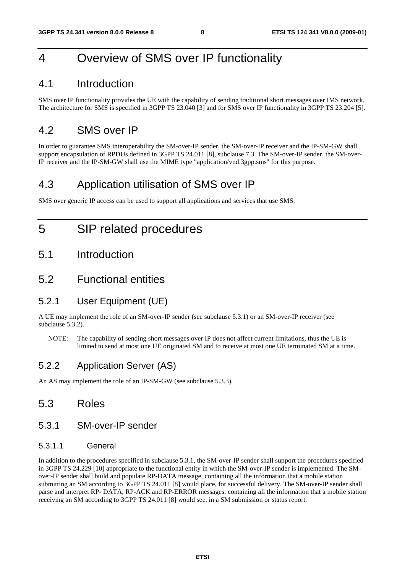# 4 Overview of SMS over IP functionality

### 4.1 Introduction

SMS over IP functionality provides the UE with the capability of sending traditional short messages over IMS network. The architecture for SMS is specified in 3GPP TS 23.040 [3] and for SMS over IP functionality in 3GPP TS 23.204 [5].

### 4.2 SMS over IP

In order to guarantee SMS interoperability the SM-over-IP sender, the SM-over-IP receiver and the IP-SM-GW shall support encapsulation of RPDUs defined in 3GPP TS 24.011 [8], subclause 7.3. The SM-over-IP sender, the SM-over-IP receiver and the IP-SM-GW shall use the MIME type "application/vnd.3gpp.sms" for this purpose.

### 4.3 Application utilisation of SMS over IP

SMS over generic IP access can be used to support all applications and services that use SMS.

## 5 SIP related procedures

5.1 Introduction

### 5.2 Functional entities

### 5.2.1 User Equipment (UE)

A UE may implement the role of an SM-over-IP sender (see subclause 5.3.1) or an SM-over-IP receiver (see subclause 5.3.2).

NOTE: The capability of sending short messages over IP does not affect current limitations, thus the UE is limited to send at most one UE originated SM and to receive at most one UE terminated SM at a time.

### 5.2.2 Application Server (AS)

An AS may implement the role of an IP-SM-GW (see subclause 5.3.3).

### 5.3 Roles

### 5.3.1 SM-over-IP sender

#### 5.3.1.1 General

In addition to the procedures specified in subclause 5.3.1, the SM-over-IP sender shall support the procedures specified in 3GPP TS 24.229 [10] appropriate to the functional entity in which the SM-over-IP sender is implemented. The SMover-IP sender shall build and populate RP-DATA message, containing all the information that a mobile station submitting an SM according to 3GPP TS 24.011 [8] would place, for successful delivery. The SM-over-IP sender shall parse and interpret RP- DATA, RP-ACK and RP-ERROR messages, containing all the information that a mobile station receiving an SM according to 3GPP TS 24.011 [8] would see, in a SM submission or status report.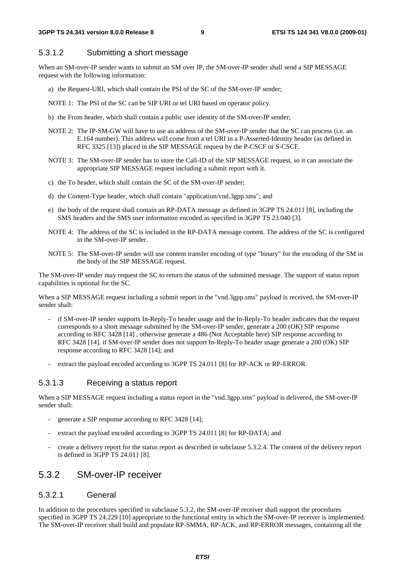#### 5.3.1.2 Submitting a short message

When an SM-over-IP sender wants to submit an SM over IP, the SM-over-IP sender shall send a SIP MESSAGE request with the following information:

- a) the Request-URI, which shall contain the PSI of the SC of the SM-over-IP sender;
- NOTE 1: The PSI of the SC can be SIP URI or tel URI based on operator policy.
- b) the From header, which shall contain a public user identity of the SM-over-IP sender;
- NOTE 2: The IP-SM-GW will have to use an address of the SM-over-IP sender that the SC can process (i.e. an E.164 number). This address will come from a tel URI in a P-Asserted-Identity header (as defined in RFC 3325 [13]) placed in the SIP MESSAGE request by the P-CSCF or S-CSCF.
- NOTE 3: The SM-over-IP sender has to store the Call-ID of the SIP MESSAGE request, so it can associate the appropriate SIP MESSAGE request including a submit report with it.
- c) the To header, which shall contain the SC of the SM-over-IP sender;
- d) the Content-Type header, which shall contain "application/vnd.3gpp.sms"; and
- e) the body of the request shall contain an RP-DATA message as defined in 3GPP TS 24.011 [8], including the SMS headers and the SMS user information encoded as specified in 3GPP TS 23.040 [3].
- NOTE 4: The address of the SC is included in the RP-DATA message content. The address of the SC is configured in the SM-over-IP sender.
- NOTE 5: The SM-over-IP sender will use content transfer encoding of type "binary" for the encoding of the SM in the body of the SIP MESSAGE request.

The SM-over-IP sender may request the SC to return the status of the submitted message. The support of status report capabilities is optional for the SC.

When a SIP MESSAGE request including a submit report in the "vnd.3gpp.sms" payload is received, the SM-over-IP sender shall:

- if SM-over-IP sender supports In-Reply-To header usage and the In-Reply-To header indicates that the request corresponds to a short message submitted by the SM-over-IP sender, generate a 200 (OK) SIP response according to RFC 3428 [14] , otherwise generate a 486 (Not Acceptable here) SIP response according to RFC 3428 [14]. if SM-over-IP sender does not support In-Reply-To header usage generate a 200 (OK) SIP response according to RFC 3428 [14]; and
- extract the payload encoded according to 3GPP TS 24.011 [8] for RP-ACK or RP-ERROR.

#### 5.3.1.3 Receiving a status report

When a SIP MESSAGE request including a status report in the "vnd.3gpp.sms" payload is delivered, the SM-over-IP sender shall:

- generate a SIP response according to RFC 3428 [14];
- extract the payload encoded according to 3GPP TS 24.011 [8] for RP-DATA; and
- create a delivery report for the status report as described in subclause 5.3.2.4. The content of the delivery report is defined in 3GPP TS 24.011 [8].

### 5.3.2 SM-over-IP receiver

#### 5.3.2.1 General

In addition to the procedures specified in subclause 5.3.2, the SM-over-IP receiver shall support the procedures specified in 3GPP TS 24.229 [10] appropriate to the functional entity in which the SM-over-IP receiver is implemented. The SM-over-IP receiver shall build and populate RP-SMMA, RP-ACK, and RP-ERROR messages, containing all the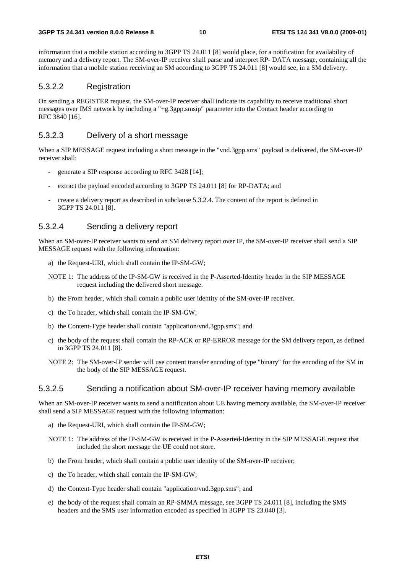information that a mobile station according to 3GPP TS 24.011 [8] would place, for a notification for availability of memory and a delivery report. The SM-over-IP receiver shall parse and interpret RP- DATA message, containing all the information that a mobile station receiving an SM according to 3GPP TS 24.011 [8] would see, in a SM delivery.

#### 5.3.2.2 Registration

On sending a REGISTER request, the SM-over-IP receiver shall indicate its capability to receive traditional short messages over IMS network by including a "+g.3gpp.smsip" parameter into the Contact header according to RFC 3840 [16].

#### 5.3.2.3 Delivery of a short message

When a SIP MESSAGE request including a short message in the "vnd.3gpp.sms" payload is delivered, the SM-over-IP receiver shall:

- generate a SIP response according to RFC 3428 [14];
- extract the payload encoded according to 3GPP TS 24.011 [8] for RP-DATA; and
- create a delivery report as described in subclause 5.3.2.4. The content of the report is defined in 3GPP TS 24.011 [8].

#### 5.3.2.4 Sending a delivery report

When an SM-over-IP receiver wants to send an SM delivery report over IP, the SM-over-IP receiver shall send a SIP MESSAGE request with the following information:

- a) the Request-URI, which shall contain the IP-SM-GW;
- NOTE 1: The address of the IP-SM-GW is received in the P-Asserted-Identity header in the SIP MESSAGE request including the delivered short message.
- b) the From header, which shall contain a public user identity of the SM-over-IP receiver.
- c) the To header, which shall contain the IP-SM-GW;
- b) the Content-Type header shall contain "application/vnd.3gpp.sms"; and
- c) the body of the request shall contain the RP-ACK or RP-ERROR message for the SM delivery report, as defined in 3GPP TS 24.011 [8].
- NOTE 2: The SM-over-IP sender will use content transfer encoding of type "binary" for the encoding of the SM in the body of the SIP MESSAGE request.

#### 5.3.2.5 Sending a notification about SM-over-IP receiver having memory available

When an SM-over-IP receiver wants to send a notification about UE having memory available, the SM-over-IP receiver shall send a SIP MESSAGE request with the following information:

- a) the Request-URI, which shall contain the IP-SM-GW;
- NOTE 1: The address of the IP-SM-GW is received in the P-Asserted-Identity in the SIP MESSAGE request that included the short message the UE could not store.
- b) the From header, which shall contain a public user identity of the SM-over-IP receiver;
- c) the To header, which shall contain the IP-SM-GW;
- d) the Content-Type header shall contain "application/vnd.3gpp.sms"; and
- e) the body of the request shall contain an RP-SMMA message, see 3GPP TS 24.011 [8], including the SMS headers and the SMS user information encoded as specified in 3GPP TS 23.040 [3].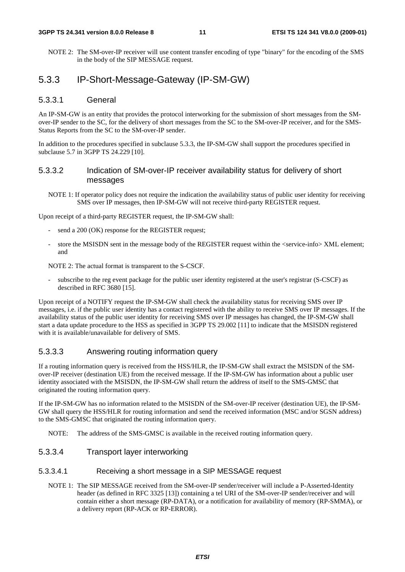NOTE 2: The SM-over-IP receiver will use content transfer encoding of type "binary" for the encoding of the SMS in the body of the SIP MESSAGE request.

### 5.3.3 IP-Short-Message-Gateway (IP-SM-GW)

#### 5.3.3.1 General

An IP-SM-GW is an entity that provides the protocol interworking for the submission of short messages from the SMover-IP sender to the SC, for the delivery of short messages from the SC to the SM-over-IP receiver, and for the SMS-Status Reports from the SC to the SM-over-IP sender.

In addition to the procedures specified in subclause 5.3.3, the IP-SM-GW shall support the procedures specified in subclause 5.7 in 3GPP TS 24.229 [10].

### 5.3.3.2 Indication of SM-over-IP receiver availability status for delivery of short messages

NOTE 1: If operator policy does not require the indication the availability status of public user identity for receiving SMS over IP messages, then IP-SM-GW will not receive third-party REGISTER request.

Upon receipt of a third-party REGISTER request, the IP-SM-GW shall:

- send a 200 (OK) response for the REGISTER request;
- store the MSISDN sent in the message body of the REGISTER request within the <service-info $>$ XML element; and

NOTE 2: The actual format is transparent to the S-CSCF.

subscribe to the reg event package for the public user identity registered at the user's registrar (S-CSCF) as described in RFC 3680 [15].

Upon receipt of a NOTIFY request the IP-SM-GW shall check the availability status for receiving SMS over IP messages, i.e. if the public user identity has a contact registered with the ability to receive SMS over IP messages. If the availability status of the public user identity for receiving SMS over IP messages has changed, the IP-SM-GW shall start a data update procedure to the HSS as specified in 3GPP TS 29.002 [11] to indicate that the MSISDN registered with it is available/unavailable for delivery of SMS.

#### 5.3.3.3 Answering routing information query

If a routing information query is received from the HSS/HLR, the IP-SM-GW shall extract the MSISDN of the SMover-IP receiver (destination UE) from the received message. If the IP-SM-GW has information about a public user identity associated with the MSISDN, the IP-SM-GW shall return the address of itself to the SMS-GMSC that originated the routing information query.

If the IP-SM-GW has no information related to the MSISDN of the SM-over-IP receiver (destination UE), the IP-SM-GW shall query the HSS/HLR for routing information and send the received information (MSC and/or SGSN address) to the SMS-GMSC that originated the routing information query.

NOTE: The address of the SMS-GMSC is available in the received routing information query.

5.3.3.4 Transport layer interworking

#### 5.3.3.4.1 Receiving a short message in a SIP MESSAGE request

NOTE 1: The SIP MESSAGE received from the SM-over-IP sender/receiver will include a P-Asserted-Identity header (as defined in RFC 3325 [13]) containing a tel URI of the SM-over-IP sender/receiver and will contain either a short message (RP-DATA), or a notification for availability of memory (RP-SMMA), or a delivery report (RP-ACK or RP-ERROR).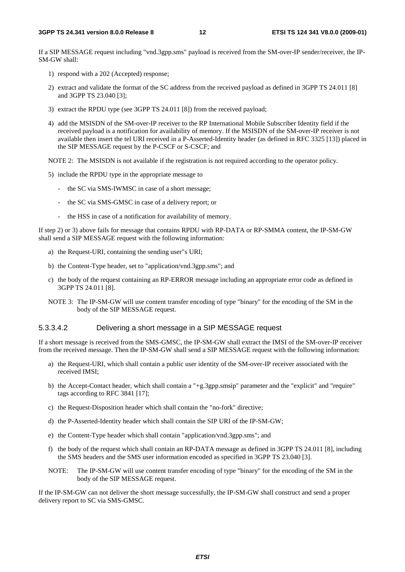If a SIP MESSAGE request including "vnd.3gpp.sms" payload is received from the SM-over-IP sender/receiver, the IP-SM-GW shall:

- 1) respond with a 202 (Accepted) response;
- 2) extract and validate the format of the SC address from the received payload as defined in 3GPP TS 24.011 [8] and 3GPP TS 23.040 [3];
- 3) extract the RPDU type (see 3GPP TS 24.011 [8]) from the received payload;
- 4) add the MSISDN of the SM-over-IP receiver to the RP International Mobile Subscriber Identity field if the received payload is a notification for availability of memory. If the MSISDN of the SM-over-IP receiver is not available then insert the tel URI received in a P-Asserted-Identity header (as defined in RFC 3325 [13]) placed in the SIP MESSAGE request by the P-CSCF or S-CSCF; and

NOTE 2: The MSISDN is not available if the registration is not required according to the operator policy.

- 5) include the RPDU type in the appropriate message to
	- the SC via SMS-IWMSC in case of a short message;
	- the SC via SMS-GMSC in case of a delivery report; or
	- the HSS in case of a notification for availability of memory.

If step 2) or 3) above fails for message that contains RPDU with RP-DATA or RP-SMMA content, the IP-SM-GW shall send a SIP MESSAGE request with the following information:

- a) the Request-URI, containing the sending user"s URI;
- b) the Content-Type header, set to "application/vnd.3gpp.sms"; and
- c) the body of the request containing an RP-ERROR message including an appropriate error code as defined in 3GPP TS 24.011 [8].
- NOTE 3: The IP-SM-GW will use content transfer encoding of type "binary" for the encoding of the SM in the body of the SIP MESSAGE request.

#### 5.3.3.4.2 Delivering a short message in a SIP MESSAGE request

If a short message is received from the SMS-GMSC, the IP-SM-GW shall extract the IMSI of the SM-over-IP receiver from the received message. Then the IP-SM-GW shall send a SIP MESSAGE request with the following information:

- a) the Request-URI, which shall contain a public user identity of the SM-over-IP receiver associated with the received IMSI;
- b) the Accept-Contact header, which shall contain a "+g.3gpp.smsip" parameter and the "explicit" and "require" tags according to RFC 3841 [17];
- c) the Request-Disposition header which shall contain the "no-fork" directive;
- d) the P-Asserted-Identity header which shall contain the SIP URI of the IP-SM-GW;
- e) the Content-Type header which shall contain "application/vnd.3gpp.sms"; and
- f) the body of the request which shall contain an RP-DATA message as defined in 3GPP TS 24.011 [8], including the SMS headers and the SMS user information encoded as specified in 3GPP TS 23.040 [3].
- NOTE: The IP-SM-GW will use content transfer encoding of type "binary" for the encoding of the SM in the body of the SIP MESSAGE request.

If the IP-SM-GW can not deliver the short message successfully, the IP-SM-GW shall construct and send a proper delivery report to SC via SMS-GMSC.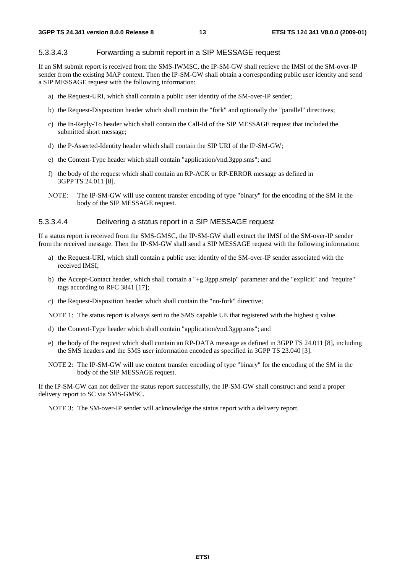#### 5.3.3.4.3 Forwarding a submit report in a SIP MESSAGE request

If an SM submit report is received from the SMS-IWMSC, the IP-SM-GW shall retrieve the IMSI of the SM-over-IP sender from the existing MAP context. Then the IP-SM-GW shall obtain a corresponding public user identity and send a SIP MESSAGE request with the following information:

- a) the Request-URI, which shall contain a public user identity of the SM-over-IP sender;
- b) the Request-Disposition header which shall contain the "fork" and optionally the "parallel" directives;
- c) the In-Reply-To header which shall contain the Call-Id of the SIP MESSAGE request that included the submitted short message;
- d) the P-Asserted-Identity header which shall contain the SIP URI of the IP-SM-GW;
- e) the Content-Type header which shall contain "application/vnd.3gpp.sms"; and
- f) the body of the request which shall contain an RP-ACK or RP-ERROR message as defined in 3GPP TS 24.011 [8].
- NOTE: The IP-SM-GW will use content transfer encoding of type "binary" for the encoding of the SM in the body of the SIP MESSAGE request.

#### 5.3.3.4.4 Delivering a status report in a SIP MESSAGE request

If a status report is received from the SMS-GMSC, the IP-SM-GW shall extract the IMSI of the SM-over-IP sender from the received message. Then the IP-SM-GW shall send a SIP MESSAGE request with the following information:

- a) the Request-URI, which shall contain a public user identity of the SM-over-IP sender associated with the received IMSI;
- b) the Accept-Contact header, which shall contain a "+g.3gpp.smsip" parameter and the "explicit" and "require" tags according to RFC 3841 [17];
- c) the Request-Disposition header which shall contain the "no-fork" directive;

NOTE 1: The status report is always sent to the SMS capable UE that registered with the highest q value.

- d) the Content-Type header which shall contain "application/vnd.3gpp.sms"; and
- e) the body of the request which shall contain an RP-DATA message as defined in 3GPP TS 24.011 [8], including the SMS headers and the SMS user information encoded as specified in 3GPP TS 23.040 [3].
- NOTE 2: The IP-SM-GW will use content transfer encoding of type "binary" for the encoding of the SM in the body of the SIP MESSAGE request.

If the IP-SM-GW can not deliver the status report successfully, the IP-SM-GW shall construct and send a proper delivery report to SC via SMS-GMSC.

NOTE 3: The SM-over-IP sender will acknowledge the status report with a delivery report.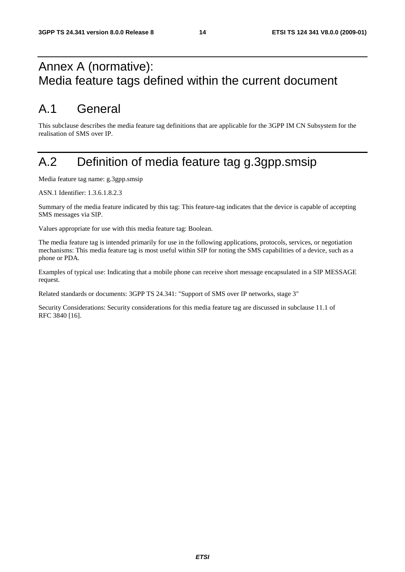# Annex A (normative): Media feature tags defined within the current document

# A.1 General

This subclause describes the media feature tag definitions that are applicable for the 3GPP IM CN Subsystem for the realisation of SMS over IP.

# A.2 Definition of media feature tag g.3gpp.smsip

Media feature tag name: g.3gpp.smsip

ASN.1 Identifier: 1.3.6.1.8.2.3

Summary of the media feature indicated by this tag: This feature-tag indicates that the device is capable of accepting SMS messages via SIP.

Values appropriate for use with this media feature tag: Boolean.

The media feature tag is intended primarily for use in the following applications, protocols, services, or negotiation mechanisms: This media feature tag is most useful within SIP for noting the SMS capabilities of a device, such as a phone or PDA.

Examples of typical use: Indicating that a mobile phone can receive short message encapsulated in a SIP MESSAGE request.

Related standards or documents: 3GPP TS 24.341: "Support of SMS over IP networks, stage 3"

Security Considerations: Security considerations for this media feature tag are discussed in subclause 11.1 of RFC 3840 [16].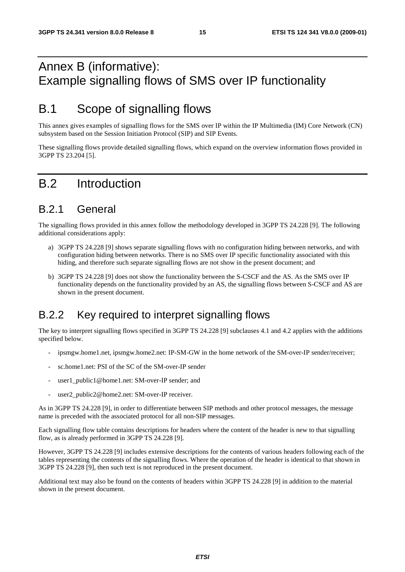# Annex B (informative): Example signalling flows of SMS over IP functionality

# B.1 Scope of signalling flows

This annex gives examples of signalling flows for the SMS over IP within the IP Multimedia (IM) Core Network (CN) subsystem based on the Session Initiation Protocol (SIP) and SIP Events.

These signalling flows provide detailed signalling flows, which expand on the overview information flows provided in 3GPP TS 23.204 [5].

# B.2 Introduction

### B.2.1 General

The signalling flows provided in this annex follow the methodology developed in 3GPP TS 24.228 [9]. The following additional considerations apply:

- a) 3GPP TS 24.228 [9] shows separate signalling flows with no configuration hiding between networks, and with configuration hiding between networks. There is no SMS over IP specific functionality associated with this hiding, and therefore such separate signalling flows are not show in the present document; and
- b) 3GPP TS 24.228 [9] does not show the functionality between the S-CSCF and the AS. As the SMS over IP functionality depends on the functionality provided by an AS, the signalling flows between S-CSCF and AS are shown in the present document.

## B.2.2 Key required to interpret signalling flows

The key to interpret signalling flows specified in 3GPP TS 24.228 [9] subclauses 4.1 and 4.2 applies with the additions specified below.

- ipsmgw.home1.net, ipsmgw.home2.net: IP-SM-GW in the home network of the SM-over-IP sender/receiver;
- sc.home1.net: PSI of the SC of the SM-over-IP sender
- user1\_public1@home1.net: SM-over-IP sender; and
- user2\_public2@home2.net: SM-over-IP receiver.

As in 3GPP TS 24.228 [9], in order to differentiate between SIP methods and other protocol messages, the message name is preceded with the associated protocol for all non-SIP messages.

Each signalling flow table contains descriptions for headers where the content of the header is new to that signalling flow, as is already performed in 3GPP TS 24.228 [9].

However, 3GPP TS 24.228 [9] includes extensive descriptions for the contents of various headers following each of the tables representing the contents of the signalling flows. Where the operation of the header is identical to that shown in 3GPP TS 24.228 [9], then such text is not reproduced in the present document.

Additional text may also be found on the contents of headers within 3GPP TS 24.228 [9] in addition to the material shown in the present document.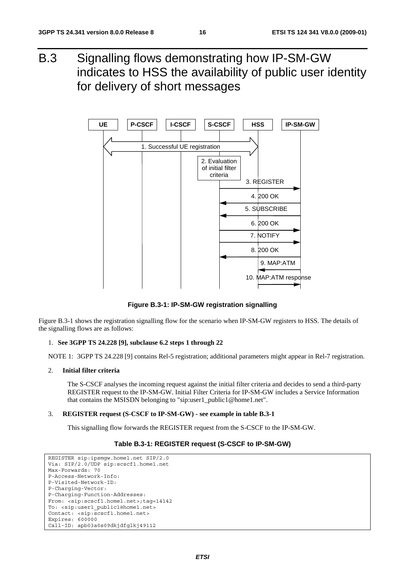B.3 Signalling flows demonstrating how IP-SM-GW indicates to HSS the availability of public user identity for delivery of short messages



**Figure B.3-1: IP-SM-GW registration signalling** 

Figure B.3-1 shows the registration signalling flow for the scenario when IP-SM-GW registers to HSS. The details of the signalling flows are as follows:

#### 1. **See 3GPP TS 24.228 [9], subclause 6.2 steps 1 through 22**

NOTE 1: 3GPP TS 24.228 [9] contains Rel-5 registration; additional parameters might appear in Rel-7 registration.

#### 2. **Initial filter criteria**

 The S-CSCF analyses the incoming request against the initial filter criteria and decides to send a third-party REGISTER request to the IP-SM-GW. Initial Filter Criteria for IP-SM-GW includes a Service Information that contains the MSISDN belonging to "sip:user1\_public1@home1.net".

#### 3. **REGISTER request (S-CSCF to IP-SM-GW) - see example in table B.3-1**

This signalling flow forwards the REGISTER request from the S-CSCF to the IP-SM-GW.

#### **Table B.3-1: REGISTER request (S-CSCF to IP-SM-GW)**

```
REGISTER sip:ipsmgw.home1.net SIP/2.0 
Via: SIP/2.0/UDP sip:scscf1.home1.net 
Max-Forwards: 70 
P-Access-Network-Info: 
P-Visited-Network-ID: 
P-Charging-Vector: 
P-Charging-Function-Addresses: 
From: <sip:scscf1.home1.net>;tag=14142 
To: <sip:user1_public1@home1.net> 
Contact: <sip:scscf1.home1.net> 
Expires: 600000 
Call-ID: apb03a0s09dkjdfglkj49112
```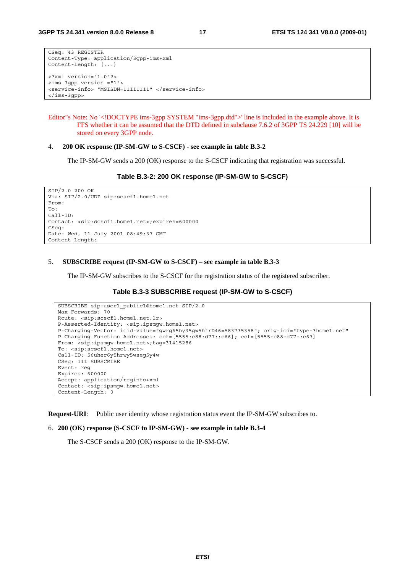```
CSeq: 43 REGISTER 
Content-Type: application/3gpp-ims+xml 
Content-Length: (...) 
<?xml version="1.0"?> 
<ims-3gpp version ="1"> 
<service-info> "MSISDN=11111111" </service-info> 
</ims-3gpp>
```

```
Editor"s Note: No '<!DOCTYPE ims-3gpp SYSTEM "ims-3gpp.dtd">' line is included in the example above. It is 
          FFS whether it can be assumed that the DTD defined in subclause 7.6.2 of 3GPP TS 24.229 [10] will be 
          stored on every 3GPP node.
```
#### 4. **200 OK response (IP-SM-GW to S-CSCF) - see example in table B.3-2**

The IP-SM-GW sends a 200 (OK) response to the S-CSCF indicating that registration was successful.

#### **Table B.3-2: 200 OK response (IP-SM-GW to S-CSCF)**

```
SIP/2.0 200 OK 
Via: SIP/2.0/UDP sip:scscf1.home1.net 
From: 
To: 
Call-ID: 
Contact: <sip:scscf1.home1.net>;expires=600000 
CSeq: 
Date: Wed, 11 July 2001 08:49:37 GMT 
Content-Length:
```
#### 5. **SUBSCRIBE request (IP-SM-GW to S-CSCF) – see example in table B.3-3**

The IP-SM-GW subscribes to the S-CSCF for the registration status of the registered subscriber.

#### **Table B.3-3 SUBSCRIBE request (IP-SM-GW to S-CSCF)**

```
SUBSCRIBE sip:user1_public1@home1.net SIP/2.0 
Max-Forwards: 70 
Route: <sip:scscf1.home1.net;lr> 
P-Asserted-Identity: <sip:ipsmgw.home1.net> 
P-Charging-Vector: icid-value="gwrg65hy35gw5hfrD46=583735358"; orig-ioi="type-3home1.net" 
P-Charging-Function-Addresses: ccf=[5555:c88:d77::c66]; ecf=[5555:c88:d77::e67] 
From: <sip:ipsmgw.home1.net>;tag=31415286 
To: <sip:scscf1.home1.net> 
Call-ID: 56uher6y5hrwy5wseg5y4w 
CSeq: 111 SUBSCRIBE 
Event: reg 
Expires: 600000 
Accept: application/reginfo+xml 
Contact: <sip:ipsmgw.home1.net> 
Content-Length: 0
```
**Request-URI**: Public user identity whose registration status event the IP-SM-GW subscribes to.

#### 6. **200 (OK) response (S-CSCF to IP-SM-GW) - see example in table B.3-4**

The S-CSCF sends a 200 (OK) response to the IP-SM-GW.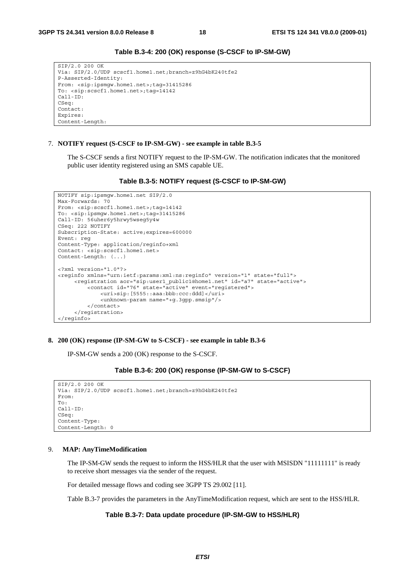```
SIP/2.0 200 OK 
Via: SIP/2.0/UDP scscf1.home1.net;branch=z9hG4bK240tfe2 
P-Asserted-Identity: 
From: <sip:ipsmgw.home1.net>;tag=31415286 
To: <sip:scscf1.home1.net>;tag=14142 
Call-ID: 
CSeq: 
Contact: 
Expires: 
Content-Length:
```
#### **Table B.3-4: 200 (OK) response (S-CSCF to IP-SM-GW)**

#### 7. **NOTIFY request (S-CSCF to IP-SM-GW) - see example in table B.3-5**

 The S-CSCF sends a first NOTIFY request to the IP-SM-GW. The notification indicates that the monitored public user identity registered using an SMS capable UE.

#### **Table B.3-5: NOTIFY request (S-CSCF to IP-SM-GW)**

```
NOTIFY sip:ipsmgw.home1.net SIP/2.0 
Max-Forwards: 70 
From: <sip:scscf1.home1.net>;tag=14142
To: <sip:ipsmgw.home1.net>;tag=31415286 
Call-ID: 56uher6y5hrwy5wseg5y4w 
CSeq: 222 NOTIFY 
Subscription-State: active;expires=600000 
Event: reg 
Content-Type: application/reginfo+xml 
Contact: <sip:scscf1.home1.net> 
Content-Length: (...) 
<?xml version="1.0"?> 
<reginfo xmlns="urn:ietf:params:xml:ns:reginfo" version="1" state="full"> 
      <registration aor="sip:user1_public1@home1.net" id="a7" state="active"> 
          <contact id="76" state="active" event="registered"> 
              <uri>sip:[5555::aaa:bbb:ccc:ddd]</uri> 
              <unknown-param name="+g.3gpp.smsip"/> 
          </contact> 
      </registration> 
</reginfo>
```
#### **8. 200 (OK) response (IP-SM-GW to S-CSCF) - see example in table B.3-6**

IP-SM-GW sends a 200 (OK) response to the S-CSCF.

#### **Table B.3-6: 200 (OK) response (IP-SM-GW to S-CSCF)**

```
SIP/2.0 200 OK 
Via: SIP/2.0/UDP scscf1.home1.net;branch=z9hG4bK240tfe2 
From: 
To: 
Call-ID: 
CSeq: 
Content-Type: 
Content-Length: 0
```
#### 9. **MAP: AnyTimeModification**

 The IP-SM-GW sends the request to inform the HSS/HLR that the user with MSISDN "11111111" is ready to receive short messages via the sender of the request.

For detailed message flows and coding see 3GPP TS 29.002 [11].

Table B.3-7 provides the parameters in the AnyTimeModification request, which are sent to the HSS/HLR.

#### **Table B.3-7: Data update procedure (IP-SM-GW to HSS/HLR)**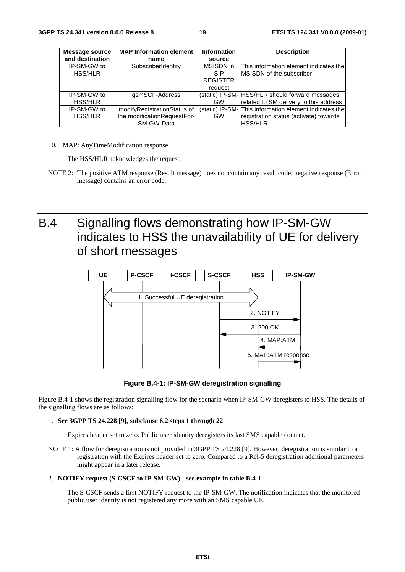| Message source  | <b>MAP Information element</b> | <b>Information</b> | <b>Description</b>                                     |
|-----------------|--------------------------------|--------------------|--------------------------------------------------------|
| and destination | name                           | source             |                                                        |
| IP-SM-GW to     | SubscriberIdentity             | MSISDN in          | This information element indicates the                 |
| <b>HSS/HLR</b>  |                                | <b>SIP</b>         | <b>IMSISDN</b> of the subscriber                       |
|                 |                                | <b>REGISTER</b>    |                                                        |
|                 |                                | request            |                                                        |
| IP-SM-GW to     | gsmSCF-Address                 |                    | (static) IP-SM- HSS/HLR should forward messages        |
| <b>HSS/HLR</b>  |                                | GW                 | related to SM delivery to this address                 |
| IP-SM-GW to     | modifyRegistrationStatus of    |                    | (static) IP-SM- This information element indicates the |
| <b>HSS/HLR</b>  | the modificationRequestFor-    | <b>GW</b>          | registration status (activate) towards                 |
|                 | SM-GW-Data                     |                    | <b>HSS/HLR</b>                                         |

10. MAP: AnyTimeModification response

The HSS/HLR acknowledges the request.

NOTE 2: The positive ATM response (Result message) does not contain any result code, negative response (Error message) contains an error code.

B.4 Signalling flows demonstrating how IP-SM-GW indicates to HSS the unavailability of UE for delivery of short messages



**Figure B.4-1: IP-SM-GW deregistration signalling** 

Figure B.4-1 shows the registration signalling flow for the scenario when IP-SM-GW deregisters to HSS. The details of the signalling flows are as follows:

#### 1. **See 3GPP TS 24.228 [9], subclause 6.2 steps 1 through 22**

Expires header set to zero. Public user identity deregisters its last SMS capable contact.

NOTE 1: A flow for deregistration is not provided in 3GPP TS 24.228 [9]. However, deregistration is similar to a registration with the Expires header set to zero. Compared to a Rel-5 deregistration additional parameters might appear in a later release.

#### **2**. **NOTIFY request (S-CSCF to IP-SM-GW) - see example in table B.4-1**

 The S-CSCF sends a first NOTIFY request to the IP-SM-GW. The notification indicates that the monitored public user identity is not registered any more with an SMS capable UE.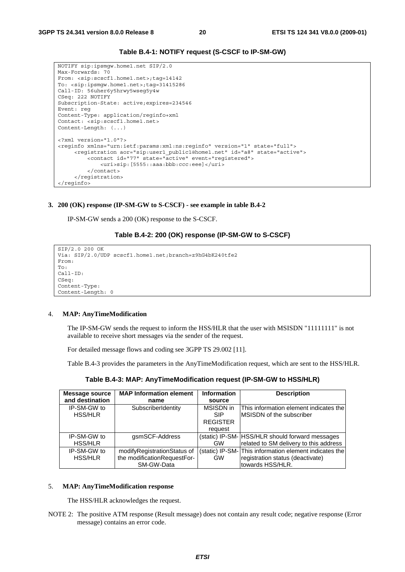

```
NOTIFY sip:ipsmgw.home1.net SIP/2.0 
Max-Forwards: 70 
From: <sip:scscf1.home1.net>;tag=14142 
To: <sip:ipsmgw.home1.net>;tag=31415286 
Call-ID: 56uher6y5hrwy5wseg5y4w 
CSeq: 222 NOTIFY 
Subscription-State: active;expires=234546 
Event: reg 
Content-Type: application/reginfo+xml 
Contact: <sip:scscf1.home1.net> 
Content-Length: (...) 
<?xml version="1.0"?> 
<reginfo xmlns="urn:ietf:params:xml:ns:reginfo" version="1" state="full"> 
      <registration aor="sip:user1_public1@home1.net" id="a8" state="active"> 
          <contact id="77" state="active" event="registered"> 
              <uri>sip:[5555::aaa:bbb:ccc:eee]</uri> 
          </contact> 
      </registration> 
</reginfo>
```
#### **3. 200 (OK) response (IP-SM-GW to S-CSCF) - see example in table B.4-2**

IP-SM-GW sends a 200 (OK) response to the S-CSCF.

#### **Table B.4-2: 200 (OK) response (IP-SM-GW to S-CSCF)**

```
SIP/2.0 200 OK 
Via: SIP/2.0/UDP scscf1.home1.net;branch=z9hG4bK240tfe2 
From: 
To: 
Call-ID: 
CSeq: 
Content-Type: 
Content-Length: 0
```
#### 4. **MAP: AnyTimeModification**

 The IP-SM-GW sends the request to inform the HSS/HLR that the user with MSISDN "11111111" is not available to receive short messages via the sender of the request.

For detailed message flows and coding see 3GPP TS 29.002 [11].

Table B.4-3 provides the parameters in the AnyTimeModification request, which are sent to the HSS/HLR.

| <b>Message source</b> | <b>MAP Information element</b> | <b>Information</b> | <b>Description</b>                                     |
|-----------------------|--------------------------------|--------------------|--------------------------------------------------------|
| and destination       | name                           | source             |                                                        |
| IP-SM-GW to           | SubscriberIdentity             | MSISDN in          | This information element indicates the                 |
| <b>HSS/HLR</b>        |                                | <b>SIP</b>         | <b>IMSISDN of the subscriber</b>                       |
|                       |                                | <b>REGISTER</b>    |                                                        |
|                       |                                | request            |                                                        |
| IP-SM-GW to           | gsmSCF-Address                 |                    | (static) IP-SM- HSS/HLR should forward messages        |
| <b>HSS/HLR</b>        |                                | <b>GW</b>          | related to SM delivery to this address                 |
| IP-SM-GW to           | modifyRegistrationStatus of    |                    | (static) IP-SM- This information element indicates the |
| <b>HSS/HLR</b>        | the modificationRequestFor-    | <b>GW</b>          | registration status (deactivate)                       |
|                       | SM-GW-Data                     |                    | towards HSS/HLR.                                       |

**Table B.4-3: MAP: AnyTimeModification request (IP-SM-GW to HSS/HLR)** 

#### 5. **MAP: AnyTimeModification response**

The HSS/HLR acknowledges the request.

NOTE 2: The positive ATM response (Result message) does not contain any result code; negative response (Error message) contains an error code.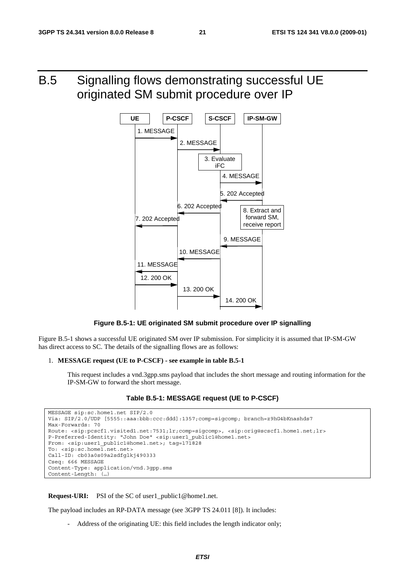# B.5 Signalling flows demonstrating successful UE originated SM submit procedure over IP



**Figure B.5-1: UE originated SM submit procedure over IP signalling** 

Figure B.5-1 shows a successful UE originated SM over IP submission. For simplicity it is assumed that IP-SM-GW has direct access to SC. The details of the signalling flows are as follows:

#### 1. **MESSAGE request (UE to P-CSCF) - see example in table B.5-1**

 This request includes a vnd.3gpp.sms payload that includes the short message and routing information for the IP-SM-GW to forward the short message.

#### **Table B.5-1: MESSAGE request (UE to P-CSCF)**

```
MESSAGE sip:sc.home1.net SIP/2.0 
Via: SIP/2.0/UDP [5555::aaa:bbb:ccc:ddd]:1357;comp=sigcomp; branch=z9hG4bKnashds7 
Max-Forwards: 70 
Route: <sip:pcscf1.visited1.net:7531;lr;comp=sigcomp>, <sip:orig@scscf1.home1.net;lr> 
P-Preferred-Identity: "John Doe" <sip:user1_public1@home1.net> 
From: <sip:user1_public1@home1.net>; tag=171828
To: <sip:sc.home1.net.net>
Call-ID: cb03a0s09a2sdfglkj490333 
Cseq: 666 MESSAGE 
Content-Type: application/vnd.3gpp.sms 
Content-Length: (…)
```
**Request-URI:** PSI of the SC of user1 public1@home1.net.

The payload includes an RP-DATA message (see 3GPP TS 24.011 [8]). It includes:

Address of the originating UE: this field includes the length indicator only;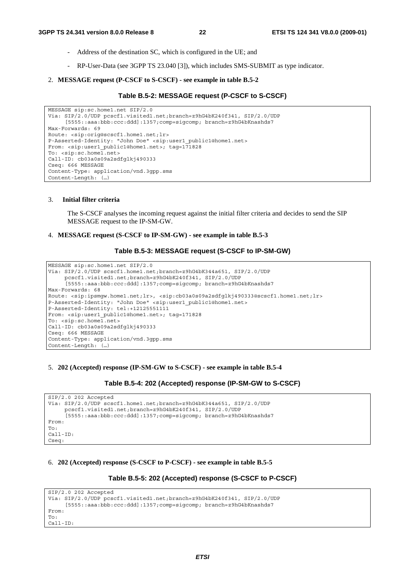- Address of the destination SC, which is configured in the UE; and
- RP-User-Data (see 3GPP TS 23.040 [3]), which includes SMS-SUBMIT as type indicator.
- 2. **MESSAGE request (P-CSCF to S-CSCF) see example in table B.5-2**

#### **Table B.5-2: MESSAGE request (P-CSCF to S-CSCF)**

```
MESSAGE sip:sc.home1.net SIP/2.0 
Via: SIP/2.0/UDP pcscf1.visited1.net;branch=z9hG4bK240f341, SIP/2.0/UDP 
     [5555::aaa:bbb:ccc:ddd]:1357;comp=sigcomp; branch=z9hG4bKnashds7 
Max-Forwards: 69 
Route: <sip:orig@scscf1.home1.net;lr> 
P-Asserted-Identity: "John Doe" <sip:user1_public1@home1.net> 
From: <sip:user1 public1@home1.net>; tag=171828
To: <sip:sc.home1.net>
Call-ID: cb03a0s09a2sdfglkj490333 
Cseq: 666 MESSAGE 
Content-Type: application/vnd.3gpp.sms 
Content-Length: (…)
```
#### 3. **Initial filter criteria**

 The S-CSCF analyses the incoming request against the initial filter criteria and decides to send the SIP MESSAGE request to the IP-SM-GW.

#### 4. **MESSAGE request (S-CSCF to IP-SM-GW) - see example in table B.5-3**

#### **Table B.5-3: MESSAGE request (S-CSCF to IP-SM-GW)**

```
MESSAGE sip:sc.home1.net SIP/2.0 
Via: SIP/2.0/UDP scscf1.home1.net;branch=z9hG4bK344a651, SIP/2.0/UDP 
     pcscf1.visited1.net;branch=z9hG4bK240f341, SIP/2.0/UDP 
     [5555::aaa:bbb:ccc:ddd]:1357;comp=sigcomp; branch=z9hG4bKnashds7 
Max-Forwards: 68 
Route: <sip:ipsmgw.home1.net;lr>, <sip:cb03a0s09a2sdfglkj490333@scscf1.home1.net;lr>
P-Asserted-Identity: "John Doe" <sip:user1_public1@home1.net> 
P-Asserted-Identity: tel:+12125551111 
From: <sip:user1 public1@home1.net>; tag=171828
To: <sip:sc.home1.net> 
Call-ID: cb03a0s09a2sdfglkj490333 
Cseq: 666 MESSAGE 
Content-Type: application/vnd.3gpp.sms 
Content-Length: (…)
```
#### 5. **202 (Accepted) response (IP-SM-GW to S-CSCF) - see example in table B.5-4**

#### **Table B.5-4: 202 (Accepted) response (IP-SM-GW to S-CSCF)**

```
SIP/2.0 202 Accepted 
Via: SIP/2.0/UDP scscf1.home1.net;branch=z9hG4bK344a651, SIP/2.0/UDP 
     pcscf1.visited1.net;branch=z9hG4bK240f341, SIP/2.0/UDP 
      [5555::aaa:bbb:ccc:ddd]:1357;comp=sigcomp; branch=z9hG4bKnashds7 
From: 
T<sub>O</sub>.
Call-ID: 
Cseq:
```
#### 6. **202 (Accepted) response (S-CSCF to P-CSCF) - see example in table B.5-5**

#### **Table B.5-5: 202 (Accepted) response (S-CSCF to P-CSCF)**

```
SIP/2.0 202 Accepted 
Via: SIP/2.0/UDP pcscf1.visited1.net;branch=z9hG4bK240f341, SIP/2.0/UDP 
     [5555::aaa:bbb:ccc:ddd]:1357;comp=sigcomp; branch=z9hG4bKnashds7 
From: 
To: 
Call-ID:
```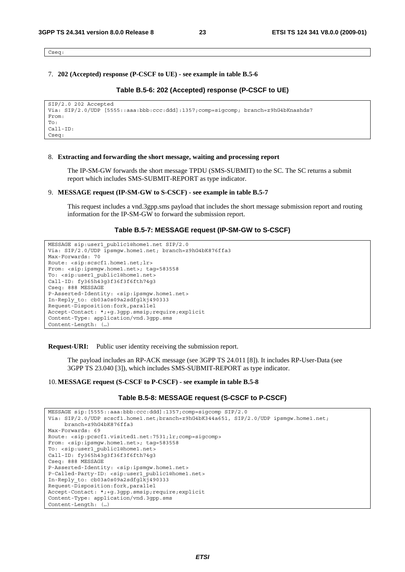Cseq:

#### 7. **202 (Accepted) response (P-CSCF to UE) - see example in table B.5-6**

#### **Table B.5-6: 202 (Accepted) response (P-CSCF to UE)**

```
SIP/2.0 202 Accepted 
Via: SIP/2.0/UDP [5555::aaa:bbb:ccc:ddd]:1357;comp=sigcomp; branch=z9hG4bKnashds7 
From: 
To: 
Call-ID: 
Cseq:
```
#### 8. **Extracting and forwarding the short message, waiting and processing report**

 The IP-SM-GW forwards the short message TPDU (SMS-SUBMIT) to the SC. The SC returns a submit report which includes SMS-SUBMIT-REPORT as type indicator.

#### 9. **MESSAGE request (IP-SM-GW to S-CSCF) - see example in table B.5-7**

 This request includes a vnd.3gpp.sms payload that includes the short message submission report and routing information for the IP-SM-GW to forward the submission report.

#### **Table B.5-7: MESSAGE request (IP-SM-GW to S-CSCF)**

```
MESSAGE sip:user1_public1@home1.net SIP/2.0 
Via: SIP/2.0/UDP ipsmgw.home1.net; branch=z9hG4bK876ffa3 
Max-Forwards: 70 
Route: <sip:scscf1.home1.net;lr> 
From: <sip:ipsmqw.home1.net>; taq=583558
To: <sip:user1_public1@home1.net> 
Call-ID: fy365h43g3f36f3f6fth74g3 
Cseq: 888 MESSAGE 
P-Asserted-Identity: <sip:ipsmgw.home1.net> 
In-Reply_to: cb03a0s09a2sdfglkj490333 
Request-Disposition:fork,parallel 
Accept-Contact: *;+g.3gpp.smsip;require;explicit 
Content-Type: application/vnd.3gpp.sms 
Content-Length: (…)
```
**Request-URI:** Public user identity receiving the submission report.

 The payload includes an RP-ACK message (see 3GPP TS 24.011 [8]). It includes RP-User-Data (see 3GPP TS 23.040 [3]), which includes SMS-SUBMIT-REPORT as type indicator.

#### 10. **MESSAGE request (S-CSCF to P-CSCF) - see example in table B.5-8**

#### **Table B.5-8: MESSAGE request (S-CSCF to P-CSCF)**

MESSAGE sip:[5555::aaa:bbb:ccc:ddd]:1357;comp=sigcomp SIP/2.0 Via: SIP/2.0/UDP scscf1.home1.net;branch=z9hG4bK344a651, SIP/2.0/UDP ipsmgw.home1.net; branch=z9hG4bK876ffa3 Max-Forwards: 69 Route: <sip:pcscf1.visited1.net:7531;lr;comp=sigcomp> From: <sip:ipsmgw.home1.net>; tag=583558 To: <sip:user1\_public1@home1.net> Call-ID: fy365h43g3f36f3f6fth74g3 Cseq: 888 MESSAGE P-Asserted-Identity: <sip:ipsmgw.home1.net> P-Called-Party-ID: <sip:user1\_public1@home1.net> In-Reply\_to: cb03a0s09a2sdfglkj490333 Request-Disposition:fork,parallel Accept-Contact: \*;+g.3gpp.smsip;require;explicit Content-Type: application/vnd.3gpp.sms Content-Length: (…)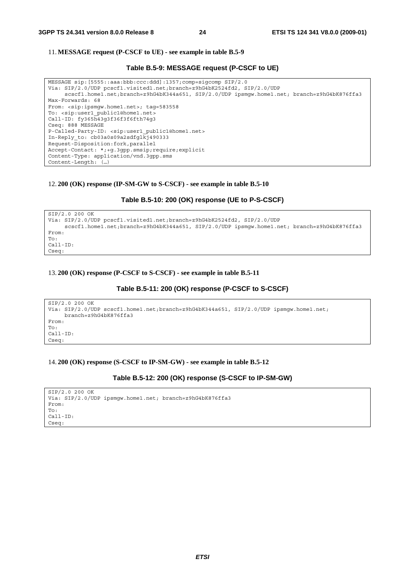#### 11. **MESSAGE request (P-CSCF to UE) - see example in table B.5-9**

#### **Table B.5-9: MESSAGE request (P-CSCF to UE)**

```
MESSAGE sip:[5555::aaa:bbb:ccc:ddd]:1357;comp=sigcomp SIP/2.0 
Via: SIP/2.0/UDP pcscf1.visited1.net;branch=z9hG4bK2524fd2, SIP/2.0/UDP 
     scscf1.home1.net;branch=z9hG4bK344a651, SIP/2.0/UDP ipsmgw.home1.net; branch=z9hG4bK876ffa3 
Max-Forwards: 68 
From: <sip:ipsmgw.home1.net>; tag=583558 
To: <sip:user1_public1@home1.net> 
Call-ID: fy365h43g3f36f3f6fth74g3 
Cseq: 888 MESSAGE 
P-Called-Party-ID: <sip:user1_public1@home1.net> 
In-Reply_to: cb03a0s09a2sdfglkj490333 
Request-Disposition:fork,parallel 
Accept-Contact: *;+g.3gpp.smsip;require;explicit 
Content-Type: application/vnd.3gpp.sms 
Content-Length: (…)
```
#### 12. **200 (OK) response (IP-SM-GW to S-CSCF) - see example in table B.5-10**

#### **Table B.5-10: 200 (OK) response (UE to P-S-CSCF)**

```
SIP/2.0 200 OK 
Via: SIP/2.0/UDP pcscf1.visited1.net;branch=z9hG4bK2524fd2, SIP/2.0/UDP 
     scscf1.home1.net;branch=z9hG4bK344a651, SIP/2.0/UDP ipsmgw.home1.net; branch=z9hG4bK876ffa3 
From: 
To: 
C<sub>a</sub>11-TDCseq:
```
#### 13. **200 (OK) response (P-CSCF to S-CSCF) - see example in table B.5-11**

#### **Table B.5-11: 200 (OK) response (P-CSCF to S-CSCF)**

```
SIP/2.0 200 OK 
Via: SIP/2.0/UDP scscf1.home1.net;branch=z9hG4bK344a651, SIP/2.0/UDP ipsmgw.home1.net; 
     branch=z9hG4bK876ffa3 
From: 
To: 
Call-ID: 
Cseq:
```
#### 14. **200 (OK) response (S-CSCF to IP-SM-GW) - see example in table B.5-12**

#### **Table B.5-12: 200 (OK) response (S-CSCF to IP-SM-GW)**

```
SIP/2.0 200 OK 
Via: SIP/2.0/UDP ipsmgw.home1.net; branch=z9hG4bK876ffa3 
From: 
To: 
C<sub>2</sub>11-TDCseq:
```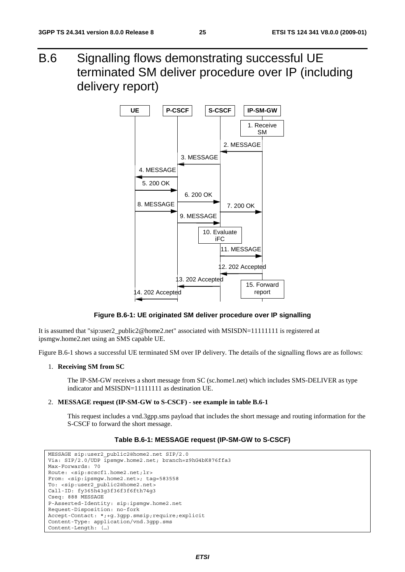B.6 Signalling flows demonstrating successful UE terminated SM deliver procedure over IP (including delivery report)



**Figure B.6-1: UE originated SM deliver procedure over IP signalling** 

It is assumed that "sip:user2\_public2@home2.net" associated with MSISDN=11111111 is registered at ipsmgw.home2.net using an SMS capable UE.

Figure B.6-1 shows a successful UE terminated SM over IP delivery. The details of the signalling flows are as follows:

#### 1. **Receiving SM from SC**

 The IP-SM-GW receives a short message from SC (sc.home1.net) which includes SMS-DELIVER as type indicator and MSISDN=11111111 as destination UE.

#### 2. **MESSAGE request (IP-SM-GW to S-CSCF) - see example in table B.6-1**

 This request includes a vnd.3gpp.sms payload that includes the short message and routing information for the S-CSCF to forward the short message.

#### **Table B.6-1: MESSAGE request (IP-SM-GW to S-CSCF)**

```
MESSAGE sip:user2_public2@home2.net SIP/2.0 
Via: SIP/2.0/UDP ipsmgw.home2.net; branch=z9hG4bK876ffa3
Max-Forwards: 70 
Route: <sip:scscf1.home2.net;lr> 
From: <sip:ipsmgw.home2.net>; tag=583558
To: <sip:user2_public2@home2.net> 
Call-ID: fy365h43g3f36f3f6fth74g3 
Cseq: 888 MESSAGE 
P-Asserted-Identity: sip:ipsmgw.home2.net 
Request-Disposition: no-fork 
Accept-Contact: *;+g.3gpp.smsip;require;explicit 
Content-Type: application/vnd.3gpp.sms 
Content-Length: (…)
```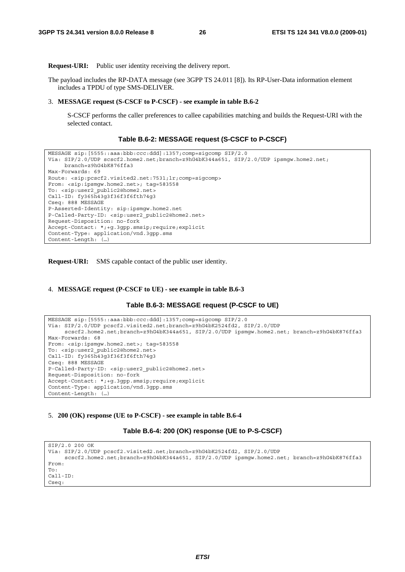**Request-URI:** Public user identity receiving the delivery report.

The payload includes the RP-DATA message (see 3GPP TS 24.011 [8]). Its RP-User-Data information element includes a TPDU of type SMS-DELIVER.

#### 3. **MESSAGE request (S-CSCF to P-CSCF) - see example in table B.6-2**

 S-CSCF performs the caller preferences to callee capabilities matching and builds the Request-URI with the selected contact.

#### **Table B.6-2: MESSAGE request (S-CSCF to P-CSCF)**

```
MESSAGE sip:[5555::aaa:bbb:ccc:ddd]:1357;comp=sigcomp SIP/2.0 
Via: SIP/2.0/UDP scscf2.home2.net;branch=z9hG4bK344a651, SIP/2.0/UDP ipsmgw.home2.net; 
     branch=z9hG4bK876ffa3 
Max-Forwards: 69 
Route: <sip:pcscf2.visited2.net:7531;lr;comp=sigcomp> 
From: <sip:ipsmgw.home2.net>; tag=583558 
To: <sip:user2_public2@home2.net> 
Call-ID: fy365h43g3f36f3f6fth74g3 
Cseq: 888 MESSAGE 
P-Asserted-Identity: sip:ipsmgw.home2.net 
P-Called-Party-ID: <sip:user2_public2@home2.net> 
Request-Disposition: no-fork 
Accept-Contact: *;+g.3gpp.smsip;require;explicit 
Content-Type: application/vnd.3gpp.sms 
Content-Length: (…)
```
**Request-URI:** SMS capable contact of the public user identity.

#### 4. **MESSAGE request (P-CSCF to UE) - see example in table B.6-3**

```
Table B.6-3: MESSAGE request (P-CSCF to UE)
```

```
MESSAGE sip:[5555::aaa:bbb:ccc:ddd]:1357;comp=sigcomp SIP/2.0 
Via: SIP/2.0/UDP pcscf2.visited2.net;branch=z9hG4bK2524fd2, SIP/2.0/UDP 
     scscf2.home2.net;branch=z9hG4bK344a651, SIP/2.0/UDP ipsmqw.home2.net; branch=z9hG4bK876ffa3
Max-Forwards: 68 
From: <sip:ipsmgw.home2.net>; tag=583558 
To: <sip:user2_public2@home2.net> 
Call-ID: fy365h43g3f36f3f6fth74g3 
Cseq: 888 MESSAGE 
P-Called-Party-ID: <sip:user2_public2@home2.net> 
Request-Disposition: no-fork 
Accept-Contact: *;+g.3gpp.smsip;require;explicit 
Content-Type: application/vnd.3gpp.sms 
Content-Length: (…)
```
#### 5. **200 (OK) response (UE to P-CSCF) - see example in table B.6-4**

**Table B.6-4: 200 (OK) response (UE to P-S-CSCF)** 

```
SIP/2.0 200 OK 
Via: SIP/2.0/UDP pcscf2.visited2.net;branch=z9hG4bK2524fd2, SIP/2.0/UDP 
     scscf2.home2.net;branch=z9hG4bK344a651, SIP/2.0/UDP ipsmgw.home2.net; branch=z9hG4bK876ffa3
From: 
To: 
Call-ID: 
Cseq:
```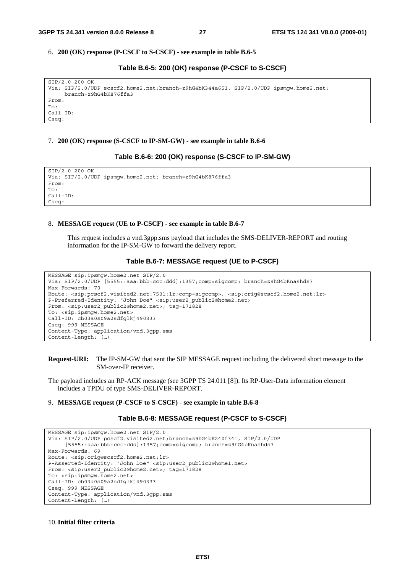#### 6. **200 (OK) response (P-CSCF to S-CSCF) - see example in table B.6-5**

#### **Table B.6-5: 200 (OK) response (P-CSCF to S-CSCF)**

| SIP/2.0 200 OK                                                                         |  |  |  |  |  |
|----------------------------------------------------------------------------------------|--|--|--|--|--|
| Via: SIP/2.0/UDP scscf2.home2.net;branch=z9hG4bK344a651, SIP/2.0/UDP ipsmqw.home2.net; |  |  |  |  |  |
| $branch = z9hG4bK876ffa3$                                                              |  |  |  |  |  |
| From:                                                                                  |  |  |  |  |  |
| To:                                                                                    |  |  |  |  |  |
| $Call-ID:$                                                                             |  |  |  |  |  |
| Cseq:                                                                                  |  |  |  |  |  |
|                                                                                        |  |  |  |  |  |

#### 7. **200 (OK) response (S-CSCF to IP-SM-GW) - see example in table B.6-6**

#### **Table B.6-6: 200 (OK) response (S-CSCF to IP-SM-GW)**

SIP/2.0 200 OK Via: SIP/2.0/UDP ipsmgw.home2.net; branch=z9hG4bK876ffa3 From: To:  $C<sub>a</sub>11-TD$ Cseq:

#### 8. **MESSAGE request (UE to P-CSCF) - see example in table B.6-7**

 This request includes a vnd.3gpp.sms payload that includes the SMS-DELIVER-REPORT and routing information for the IP-SM-GW to forward the delivery report.

#### **Table B.6-7: MESSAGE request (UE to P-CSCF)**

```
MESSAGE sip:ipsmgw.home2.net SIP/2.0 
Via: SIP/2.0/UDP [5555::aaa:bbb:ccc:ddd]:1357;comp=sigcomp; branch=z9hG4bKnashds7 
Max-Forwards: 70 
Route: <sip:pcscf2.visited2.net:7531;lr;comp=sigcomp>, <sip:orig@scscf2.home2.net;lr> 
P-Preferred-Identity: "John Doe" <sip:user2_public2@home2.net> 
From: <sip:user2_public2@home2.net>; tag=171828 
To: <sip:ipsmgw.home2.net> 
Call-ID: cb03a0s09a2sdfglkj490333 
Cseq: 999 MESSAGE 
Content-Type: application/vnd.3gpp.sms 
Content-Length: (…)
```
#### **Request-URI:** The IP-SM-GW that sent the SIP MESSAGE request including the delivered short message to the SM-over-IP receiver.

The payload includes an RP-ACK message (see 3GPP TS 24.011 [8]). Its RP-User-Data information element includes a TPDU of type SMS-DELIVER-REPORT.

#### 9. **MESSAGE request (P-CSCF to S-CSCF) - see example in table B.6-8**

#### **Table B.6-8: MESSAGE request (P-CSCF to S-CSCF)**

```
MESSAGE sip:ipsmgw.home2.net SIP/2.0 
Via: SIP/2.0/UDP pcscf2.visited2.net;branch=z9hG4bK240f341, SIP/2.0/UDP 
     [5555::aaa:bbb:ccc:ddd]:1357;comp=sigcomp; branch=z9hG4bKnashds7 
Max-Forwards: 69 
Route: <sip:orig@scscf2.home2.net;lr> 
P-Asserted-Identity: "John Doe" <sip:user2_public2@home1.net> 
From: <sip:user2 public2@home2.net>; tag=171828
To: <sip:ipsmgw.home2.net> 
Call-ID: cb03a0s09a2sdfglkj490333 
Cseq: 999 MESSAGE 
Content-Type: application/vnd.3gpp.sms 
Content-Length: (…)
```
#### 10. **Initial filter criteria**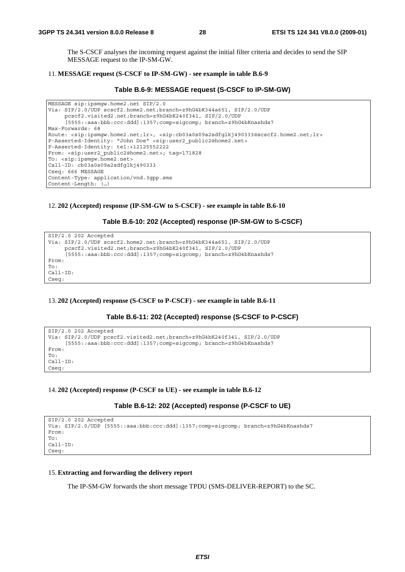The S-CSCF analyses the incoming request against the initial filter criteria and decides to send the SIP MESSAGE request to the IP-SM-GW.

#### 11. **MESSAGE request (S-CSCF to IP-SM-GW) - see example in table B.6-9**

```
Table B.6-9: MESSAGE request (S-CSCF to IP-SM-GW)
```

```
MESSAGE sip:ipsmgw.home2.net SIP/2.0 
Via: SIP/2.0/UDP scscf2.home2.net;branch=z9hG4bK344a651, SIP/2.0/UDP 
     pcscf2.visited2.net;branch=z9hG4bK240f341, SIP/2.0/UDP 
     [5555::aaa:bbb:ccc:ddd]:1357;comp=sigcomp; branch=z9hG4bKnashds7 
Max-Forwards: 68 
Route: <sip:ipsmgw.home2.net;lr>, <sip:cb03a0s09a2sdfglkj490333@scscf2.home2.net;lr> 
P-Asserted-Identity: "John Doe" <sip:user2_public2@home2.net> 
P-Asserted-Identity: tel:+12125552222 
From: <sip:user2_public2@home2.net>; tag=171828 
To: <sip:ipsmgw.home2.net> 
Call-ID: cb03a0s09a2sdfglkj490333 
Cseq: 666 MESSAGE 
Content-Type: application/vnd.3gpp.sms 
Content-Length: (…)
```
12. **202 (Accepted) response (IP-SM-GW to S-CSCF) - see example in table B.6-10** 

**Table B.6-10: 202 (Accepted) response (IP-SM-GW to S-CSCF)** 

```
SIP/2.0 202 Accepted 
Via: SIP/2.0/UDP scscf2.home2.net;branch=z9hG4bK344a651, SIP/2.0/UDP 
     pcscf2.visited2.net;branch=z9hG4bK240f341, SIP/2.0/UDP 
     [5555::aaa:bbb:ccc:ddd]:1357;comp=sigcomp; branch=z9hG4bKnashds7 
From: 
To: 
Call-ID: 
Cseq:
```
#### 13. **202 (Accepted) response (S-CSCF to P-CSCF) - see example in table B.6-11**

**Table B.6-11: 202 (Accepted) response (S-CSCF to P-CSCF)** 

```
SIP/2.0 202 Accepted 
Via: SIP/2.0/UDP pcscf2.visited2.net;branch=z9hG4bK240f341, SIP/2.0/UDP 
     [5555::aaa:bbb:ccc:ddd]:1357;comp=sigcomp; branch=z9hG4bKnashds7 
From: 
T<sub>O</sub>.
Call-ID: 
Cseq:
```
#### 14. **202 (Accepted) response (P-CSCF to UE) - see example in table B.6-12**

#### **Table B.6-12: 202 (Accepted) response (P-CSCF to UE)**

```
SIP/2.0 202 Accepted 
Via: SIP/2.0/UDP [5555::aaa:bbb:ccc:ddd]:1357;comp=sigcomp; branch=z9hG4bKnashds7 
From: 
To: 
Call-ID: 
Cseq:
```
#### 15. **Extracting and forwarding the delivery report**

The IP-SM-GW forwards the short message TPDU (SMS-DELIVER-REPORT) to the SC.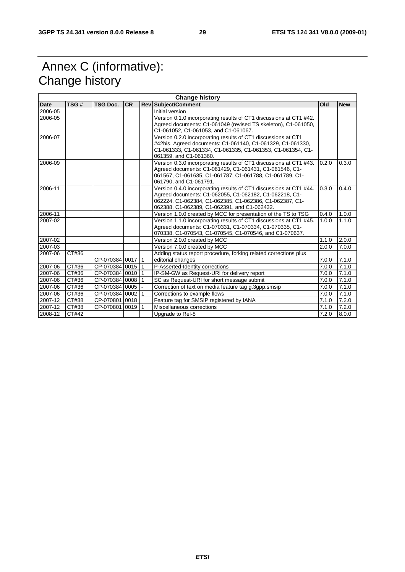# Annex C (informative): Change history

| <b>Change history</b> |       |                  |           |  |                                                                                                                                                                                                                                         |       |            |
|-----------------------|-------|------------------|-----------|--|-----------------------------------------------------------------------------------------------------------------------------------------------------------------------------------------------------------------------------------------|-------|------------|
| Date                  | TSG#  | <b>TSG Doc.</b>  | <b>CR</b> |  | <b>Rev Subject/Comment</b>                                                                                                                                                                                                              | Old   | <b>New</b> |
| 2006-05               |       |                  |           |  | Initial version                                                                                                                                                                                                                         |       |            |
| 2006-05               |       |                  |           |  | Version 0.1.0 incorporating results of CT1 discussions at CT1 #42.<br>Agreed documents: C1-061049 (revised TS skeleton), C1-061050,<br>C1-061052, C1-061053, and C1-061067.                                                             |       |            |
| 2006-07               |       |                  |           |  | Version 0.2.0 incorporating results of CT1 discussions at CT1<br>#42bis. Agreed documents: C1-061140, C1-061329, C1-061330,<br>C1-061333, C1-061334, C1-061335, C1-061353, C1-061354, C1-<br>061359, and C1-061360.                     |       |            |
| 2006-09               |       |                  |           |  | Version 0.3.0 incorporating results of CT1 discussions at CT1 #43.<br>Agreed documents: C1-061429, C1-061431, C1-061546, C1-<br>061567, C1-061635, C1-061787, C1-061788, C1-061789, C1-<br>061790, and C1-061791.                       | 0.2.0 | 0.3.0      |
| 2006-11               |       |                  |           |  | Version 0.4.0 incorporating results of CT1 discussions at CT1 #44.<br>Agreed documents: C1-062055, C1-062182, C1-062218, C1-<br>062224, C1-062384, C1-062385, C1-062386, C1-062387, C1-<br>062388, C1-062389, C1-062391, and C1-062432. | 0.3.0 | 0.4.0      |
| 2006-11               |       |                  |           |  | Version 1.0.0 created by MCC for presentation of the TS to TSG                                                                                                                                                                          | 0.4.0 | 1.0.0      |
| 2007-02               |       |                  |           |  | Version 1.1.0 incorporating results of CT1 discussions at CT1 #45.<br>Agreed documents: C1-070331, C1-070334, C1-070335, C1-<br>070338, C1-070543, C1-070545, C1-070546, and C1-070637.                                                 | 1.0.0 | 1.1.0      |
| 2007-02               |       |                  |           |  | Version 2.0.0 created by MCC                                                                                                                                                                                                            | 1.1.0 | 2.0.0      |
| 2007-03               |       |                  |           |  | Version 7.0.0 created by MCC                                                                                                                                                                                                            | 2.0.0 | 7.0.0      |
| 2007-06               | CT#36 | CP-070384 0017 1 |           |  | Adding status report procedure, forking related corrections plus<br>editorial changes                                                                                                                                                   | 7.0.0 | 7.1.0      |
| 2007-06               | CT#36 | CP-070384 0015 1 |           |  | P-Asserted-Identity corrections                                                                                                                                                                                                         | 7.0.0 | 7.1.0      |
| 2007-06               | CT#36 | CP-07038410010   |           |  | IP-SM-GW as Request-URI for delivery report                                                                                                                                                                                             | 7.0.0 | 7.1.0      |
| 2007-06               | CT#36 | CP-070384 0008   |           |  | SC as Request-URI for short message submit                                                                                                                                                                                              | 7.0.0 | 7.1.0      |
| 2007-06               | CT#36 | CP-070384 0005   |           |  | Correction of text on media feature tag g.3gpp.smsip                                                                                                                                                                                    | 7.0.0 | 7.1.0      |
| 2007-06               | CT#36 | CP-070384 0002 1 |           |  | Corrections to example flows                                                                                                                                                                                                            | 7.0.0 | 7.1.0      |
| 2007-12               | CT#38 | CP-070801 0018   |           |  | Feature tag for SMSIP registered by IANA                                                                                                                                                                                                | 7.1.0 | 7.2.0      |
| 2007-12               | CT#38 | CP-07080110019   |           |  | Miscellaneous corrections                                                                                                                                                                                                               | 7.1.0 | 7.2.0      |
| 2008-12               | CT#42 |                  |           |  | Upgrade to Rel-8                                                                                                                                                                                                                        | 7.2.0 | 8.0.0      |